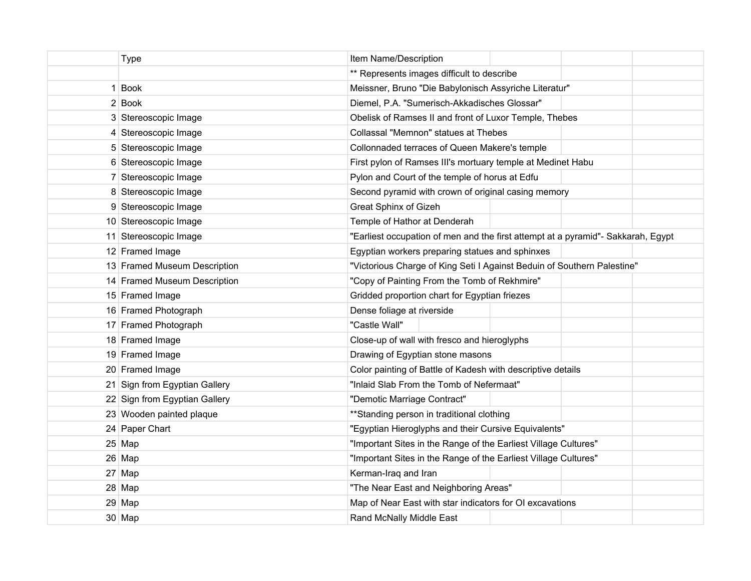| <b>Type</b>                   | Item Name/Description                                                            |  |  |  |
|-------------------------------|----------------------------------------------------------------------------------|--|--|--|
|                               | ** Represents images difficult to describe                                       |  |  |  |
| 1 Book                        | Meissner, Bruno "Die Babylonisch Assyriche Literatur"                            |  |  |  |
| 2 Book                        | Diemel, P.A. "Sumerisch-Akkadisches Glossar"                                     |  |  |  |
| 3 Stereoscopic Image          | Obelisk of Ramses II and front of Luxor Temple, Thebes                           |  |  |  |
| 4 Stereoscopic Image          | Collassal "Memnon" statues at Thebes                                             |  |  |  |
| 5 Stereoscopic Image          | Collonnaded terraces of Queen Makere's temple                                    |  |  |  |
| 6 Stereoscopic Image          | First pylon of Ramses III's mortuary temple at Medinet Habu                      |  |  |  |
| 7 Stereoscopic Image          | Pylon and Court of the temple of horus at Edfu                                   |  |  |  |
| 8 Stereoscopic Image          | Second pyramid with crown of original casing memory                              |  |  |  |
| 9 Stereoscopic Image          | Great Sphinx of Gizeh                                                            |  |  |  |
| 10 Stereoscopic Image         | Temple of Hathor at Denderah                                                     |  |  |  |
| 11 Stereoscopic Image         | "Earliest occupation of men and the first attempt at a pyramid"- Sakkarah, Egypt |  |  |  |
| 12 Framed Image               | Egyptian workers preparing statues and sphinxes                                  |  |  |  |
| 13 Framed Museum Description  | "Victorious Charge of King Seti I Against Beduin of Southern Palestine"          |  |  |  |
| 14 Framed Museum Description  | "Copy of Painting From the Tomb of Rekhmire"                                     |  |  |  |
| 15 Framed Image               | Gridded proportion chart for Egyptian friezes                                    |  |  |  |
| 16 Framed Photograph          | Dense foliage at riverside                                                       |  |  |  |
| 17 Framed Photograph          | "Castle Wall"                                                                    |  |  |  |
| 18 Framed Image               | Close-up of wall with fresco and hieroglyphs                                     |  |  |  |
| 19 Framed Image               | Drawing of Egyptian stone masons                                                 |  |  |  |
| 20 Framed Image               | Color painting of Battle of Kadesh with descriptive details                      |  |  |  |
| 21 Sign from Egyptian Gallery | "Inlaid Slab From the Tomb of Nefermaat"                                         |  |  |  |
| 22 Sign from Egyptian Gallery | "Demotic Marriage Contract"                                                      |  |  |  |
| 23 Wooden painted plaque      | ** Standing person in traditional clothing                                       |  |  |  |
| 24 Paper Chart                | "Egyptian Hieroglyphs and their Cursive Equivalents"                             |  |  |  |
| $25$ Map                      | "Important Sites in the Range of the Earliest Village Cultures"                  |  |  |  |
| $26 \mid$ Map                 | "Important Sites in the Range of the Earliest Village Cultures"                  |  |  |  |
| 27 Map                        | Kerman-Iraq and Iran                                                             |  |  |  |
| $28$ Map                      | "The Near East and Neighboring Areas"                                            |  |  |  |
| $29$ Map                      | Map of Near East with star indicators for OI excavations                         |  |  |  |
| $30$ Map                      | Rand McNally Middle East                                                         |  |  |  |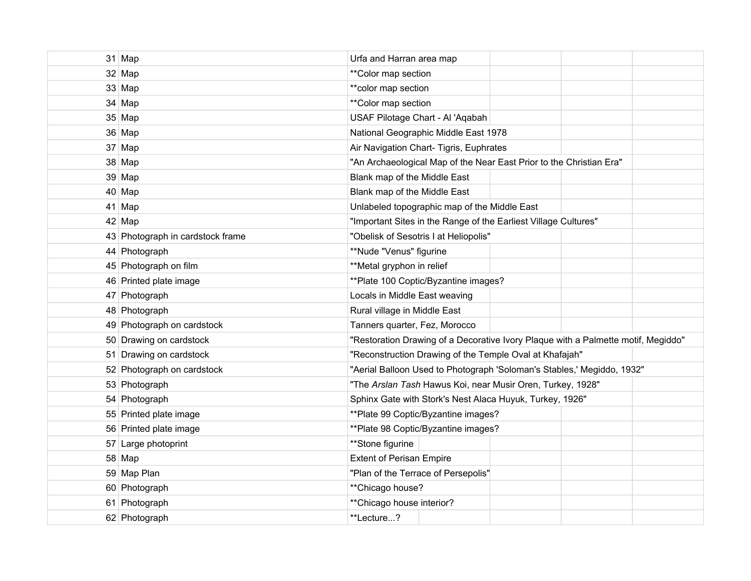| $31$ Map                         | Urfa and Harran area map                                                          |  |  |  |  |
|----------------------------------|-----------------------------------------------------------------------------------|--|--|--|--|
| 32 Map                           | ** Color map section                                                              |  |  |  |  |
| $33$ Map                         | ** color map section                                                              |  |  |  |  |
| 34 Map                           | **Color map section                                                               |  |  |  |  |
| $35$ Map                         | USAF Pilotage Chart - Al 'Aqabah                                                  |  |  |  |  |
| 36 Map                           | National Geographic Middle East 1978                                              |  |  |  |  |
| $37 \vert$ Map                   | Air Navigation Chart- Tigris, Euphrates                                           |  |  |  |  |
| 38 Map                           | "An Archaeological Map of the Near East Prior to the Christian Era"               |  |  |  |  |
| 39 Map                           | Blank map of the Middle East                                                      |  |  |  |  |
| $40$ Map                         | Blank map of the Middle East                                                      |  |  |  |  |
| $41$ Map                         | Unlabeled topographic map of the Middle East                                      |  |  |  |  |
| $42$ Map                         | "Important Sites in the Range of the Earliest Village Cultures"                   |  |  |  |  |
| 43 Photograph in cardstock frame | "Obelisk of Sesotris I at Heliopolis"                                             |  |  |  |  |
| 44 Photograph                    | **Nude "Venus" figurine                                                           |  |  |  |  |
| 45 Photograph on film            | **Metal gryphon in relief                                                         |  |  |  |  |
| 46 Printed plate image           | ** Plate 100 Coptic/Byzantine images?                                             |  |  |  |  |
| 47 Photograph                    | Locals in Middle East weaving                                                     |  |  |  |  |
| 48 Photograph                    | Rural village in Middle East                                                      |  |  |  |  |
| 49 Photograph on cardstock       | Tanners quarter, Fez, Morocco                                                     |  |  |  |  |
| 50 Drawing on cardstock          | "Restoration Drawing of a Decorative Ivory Plaque with a Palmette motif, Megiddo" |  |  |  |  |
| 51 Drawing on cardstock          | "Reconstruction Drawing of the Temple Oval at Khafajah"                           |  |  |  |  |
| 52 Photograph on cardstock       | "Aerial Balloon Used to Photograph 'Soloman's Stables,' Megiddo, 1932"            |  |  |  |  |
| 53 Photograph                    | "The Arslan Tash Hawus Koi, near Musir Oren, Turkey, 1928"                        |  |  |  |  |
| 54 Photograph                    | Sphinx Gate with Stork's Nest Alaca Huyuk, Turkey, 1926"                          |  |  |  |  |
| 55 Printed plate image           | **Plate 99 Coptic/Byzantine images?                                               |  |  |  |  |
| 56 Printed plate image           | ** Plate 98 Coptic/Byzantine images?                                              |  |  |  |  |
| 57 Large photoprint              | **Stone figurine                                                                  |  |  |  |  |
| 58 Map                           | <b>Extent of Perisan Empire</b>                                                   |  |  |  |  |
| 59 Map Plan                      | "Plan of the Terrace of Persepolis"                                               |  |  |  |  |
| 60 Photograph                    | ** Chicago house?                                                                 |  |  |  |  |
| 61 Photograph                    | ** Chicago house interior?                                                        |  |  |  |  |
| 62 Photograph                    | **Lecture?                                                                        |  |  |  |  |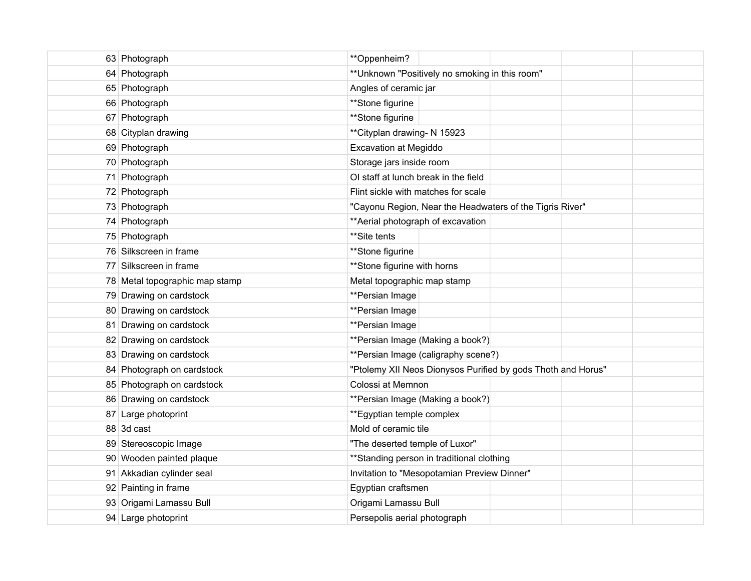| 63 Photograph                  | **Oppenheim?                                                 |  |  |
|--------------------------------|--------------------------------------------------------------|--|--|
| 64 Photograph                  | ** Unknown "Positively no smoking in this room"              |  |  |
| 65 Photograph                  | Angles of ceramic jar                                        |  |  |
| 66 Photograph                  | **Stone figurine                                             |  |  |
| 67 Photograph                  | **Stone figurine                                             |  |  |
| 68 Cityplan drawing            | ** Cityplan drawing- N 15923                                 |  |  |
| 69 Photograph                  | <b>Excavation at Megiddo</b>                                 |  |  |
| 70 Photograph                  | Storage jars inside room                                     |  |  |
| 71 Photograph                  | OI staff at lunch break in the field                         |  |  |
| 72 Photograph                  | Flint sickle with matches for scale                          |  |  |
| 73 Photograph                  | "Cayonu Region, Near the Headwaters of the Tigris River"     |  |  |
| 74 Photograph                  | ** Aerial photograph of excavation                           |  |  |
| 75 Photograph                  | **Site tents                                                 |  |  |
| 76 Silkscreen in frame         | **Stone figurine                                             |  |  |
| 77 Silkscreen in frame         | ** Stone figurine with horns                                 |  |  |
| 78 Metal topographic map stamp | Metal topographic map stamp                                  |  |  |
| 79 Drawing on cardstock        | **Persian Image                                              |  |  |
| 80 Drawing on cardstock        | **Persian Image                                              |  |  |
| 81 Drawing on cardstock        | **Persian Image                                              |  |  |
| 82 Drawing on cardstock        | **Persian Image (Making a book?)                             |  |  |
| 83 Drawing on cardstock        | **Persian Image (caligraphy scene?)                          |  |  |
| 84 Photograph on cardstock     | "Ptolemy XII Neos Dionysos Purified by gods Thoth and Horus" |  |  |
| 85 Photograph on cardstock     | Colossi at Memnon                                            |  |  |
| 86 Drawing on cardstock        | **Persian Image (Making a book?)                             |  |  |
| 87 Large photoprint            | ** Egyptian temple complex                                   |  |  |
| 88 3d cast                     | Mold of ceramic tile                                         |  |  |
| 89 Stereoscopic Image          | "The deserted temple of Luxor"                               |  |  |
| 90 Wooden painted plaque       | ** Standing person in traditional clothing                   |  |  |
| 91 Akkadian cylinder seal      | Invitation to "Mesopotamian Preview Dinner"                  |  |  |
| 92 Painting in frame           | Egyptian craftsmen                                           |  |  |
| 93 Origami Lamassu Bull        | Origami Lamassu Bull                                         |  |  |
| 94 Large photoprint            | Persepolis aerial photograph                                 |  |  |